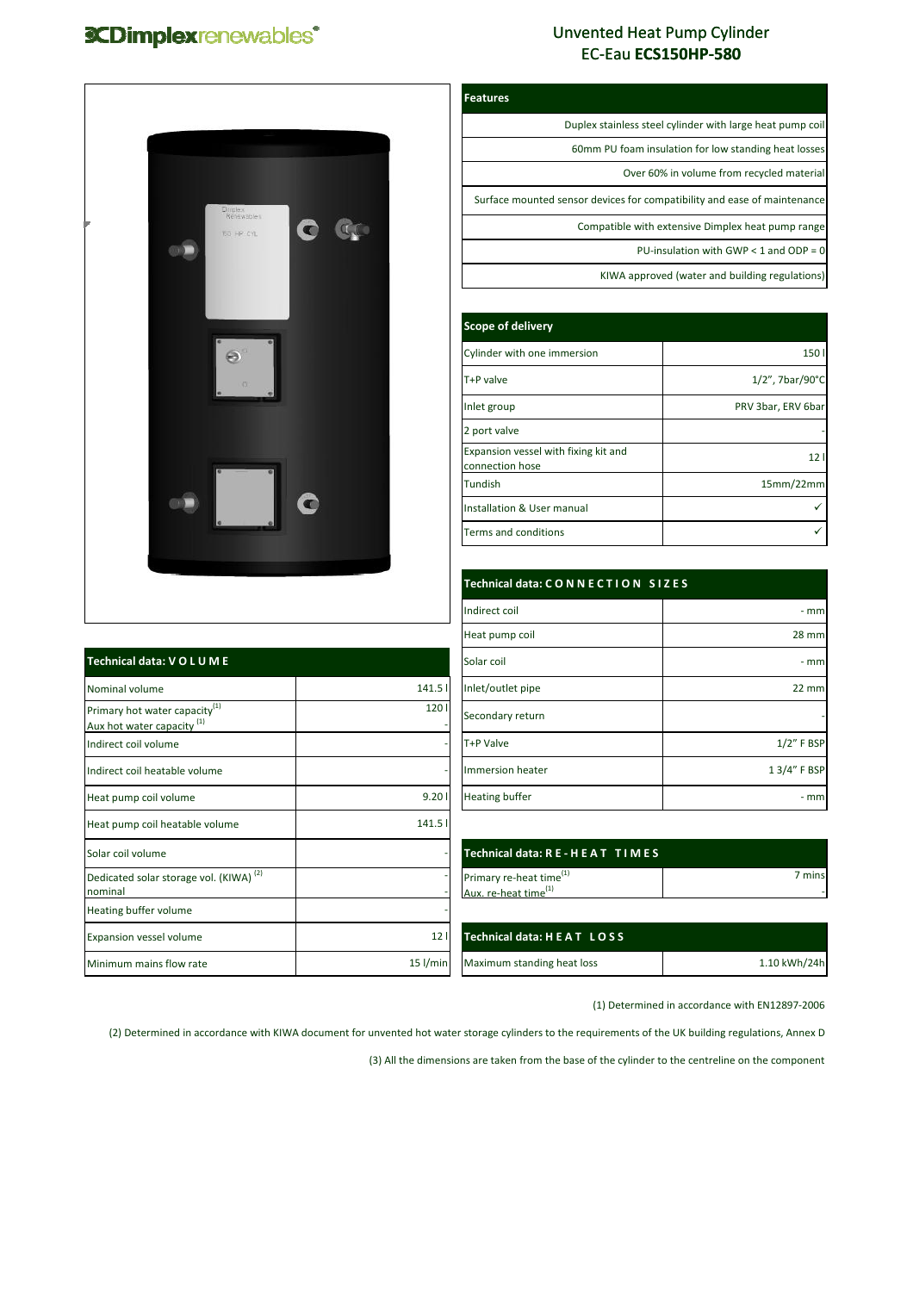## **3CDimplexrenewables\***

 $\mathsf{r}$ 

## Unvented Heat Pump Cylinder EC‐Eau **ECS150HP‐580**

| F<br>m | Diriplex<br>Renewables<br><b>BO HP CYL</b>            | $\alpha$ |  |
|--------|-------------------------------------------------------|----------|--|
|        | $\Theta^{\circ}$<br>$\langle \rangle \langle \rangle$ |          |  |
|        | ۰                                                     | m        |  |
|        |                                                       |          |  |

| Technical data: VOLUME                                                             |                 |
|------------------------------------------------------------------------------------|-----------------|
| Nominal volume                                                                     | 141.5           |
| Primary hot water capacity <sup>(1)</sup><br>Aux hot water capacity <sup>(1)</sup> | 120             |
| Indirect coil volume                                                               |                 |
| Indirect coil heatable volume                                                      |                 |
| Heat pump coil volume                                                              | 9.20            |
| Heat pump coil heatable volume                                                     | 141.5           |
| Solar coil volume                                                                  |                 |
| Dedicated solar storage vol. (KIWA) <sup>(2)</sup><br>nominal                      |                 |
| Heating buffer volume                                                              |                 |
| Expansion vessel volume                                                            | 12 <sub>1</sub> |
| Minimum mains flow rate                                                            | 15 l/min        |

| eatures                                                                  |
|--------------------------------------------------------------------------|
| Duplex stainless steel cylinder with large heat pump coil                |
| 60mm PU foam insulation for low standing heat losses                     |
| Over 60% in volume from recycled material                                |
| Surface mounted sensor devices for compatibility and ease of maintenance |
| Compatible with extensive Dimplex heat pump range                        |
| PU-insulation with GWP $<$ 1 and ODP = 0                                 |
| KIWA approved (water and building regulations)                           |

| Scope of delivery                                       |                              |  |
|---------------------------------------------------------|------------------------------|--|
| Cylinder with one immersion                             | 150                          |  |
| T+P valve                                               | $1/2$ ", 7bar/90 $\degree$ C |  |
| Inlet group                                             | PRV 3bar, ERV 6bar           |  |
| 2 port valve                                            |                              |  |
| Expansion vessel with fixing kit and<br>connection hose | 121                          |  |
| Tundish                                                 | 15mm/22mm                    |  |
| Installation & User manual                              |                              |  |
| Terms and conditions                                    |                              |  |

|       | Technical data: CONNECTION SIZES |              |
|-------|----------------------------------|--------------|
|       | Indirect coil                    | - mm         |
|       | Heat pump coil                   | <b>28 mm</b> |
|       | Solar coil                       | $-$ mm       |
| 141.5 | Inlet/outlet pipe                | $22$ mm      |
| 1201  | Secondary return                 |              |
|       | T+P Valve                        | $1/2"$ F BSP |
|       | Immersion heater                 | 1 3/4" F BSP |
| 9.201 | <b>Heating buffer</b>            | $-$ mm       |

| Technical data: RE-HEAT TIMES.      |        |
|-------------------------------------|--------|
| Primary re-heat time <sup>(1)</sup> | 7 mins |
| Aux. re-heat time <sup>(1)</sup>    |        |

| Technical data: H E A T L O S S' |              |
|----------------------------------|--------------|
| Maximum standing heat loss       | 1.10 kWh/24h |

(1) Determined in accordance with EN12897‐2006

(2) Determined in accordance with KIWA document for unvented hot water storage cylinders to the requirements of the UK building regulations, Annex D

**Features**

(3) All the dimensions are taken from the base of the cylinder to the centreline on the component